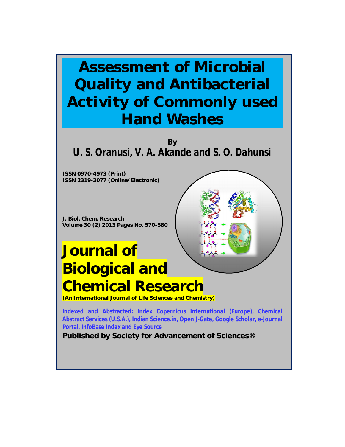## **Assessment of Microbial Quality and Antibacterial Activity of Commonly used Hand Washes**

**By U. S. Oranusi, V. A. Akande and S. O. Dahunsi**

**ISSN 0970-4973 (Print) ISSN 2319-3077 (Online/Electronic)**

**J. Biol. Chem. Research Volume 30 (2) 2013 Pages No. 570-580**

# **Journal of Biological and Chemical Research**

**(An International Journal of Life Sciences and Chemistry)**

**Indexed and Abstracted: Index Copernicus International (Europe), Chemical Abstract Services (U.S.A.), Indian Science.in, Open J-Gate, Google Scholar, e-Journal Portal, InfoBase Index and Eye Source**

**Published by Society for Advancement of Sciences®**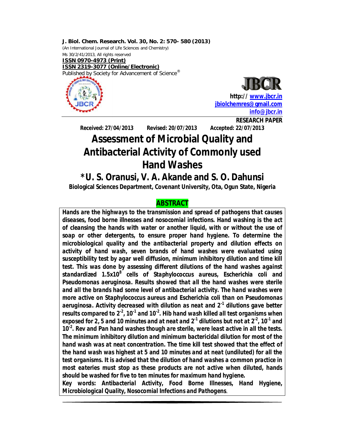**J. Biol. Chem. Research. Vol. 30, No. 2: 570- 580 (2013)** (An International Journal of Life Sciences and Chemistry) Ms 30/2/41/2013, All rights reserved **ISSN 0970-4973 (Print) ISSN 2319-3077 (Online/Electronic)** Published by Society for Advancement of Science<sup>®</sup>



**http:// www.jbcr.in jbiolchemres@gmail.com info@jbcr.in RESEARCH PAPER**

**Received: 27/04/2013 Revised: 20/07/2013 Accepted: 22/07/2013**

### **Assessment of Microbial Quality and Antibacterial Activity of Commonly used Hand Washes**

### **\*U. S. Oranusi, V. A. Akande and S. O. Dahunsi**

**Biological Sciences Department, Covenant University, Ota, Ogun State, Nigeria**

#### **ABSTRACT**

*Hands are the highways to the transmission and spread of pathogens that causes diseases, food borne illnesses and nosocomial infections. Hand washing is the act of cleansing the hands with water or another liquid, with or without the use of soap or other detergents, to ensure proper hand hygiene. To determine the microbiological quality and the antibacterial property and dilution effects on activity of hand wash, seven brands of hand washes were evaluated using susceptibility test by agar well diffusion, minimum inhibitory dilution and time kill test. This was done by assessing different dilutions of the hand washes against standardized 1.5x10<sup>8</sup> cells of Staphylococcus aureus, Escherichia coli and Pseudomonas aeruginosa. Results showed that all the hand washes were sterile and all the brands had some level of antibacterial activity. The hand washes were more active on Staphylococcus aureus and Escherichia coli than on Pseudomonas aeruginosa. Activity decreased with dilution as neat and 2-1 dilutions gave better results compared to 2<sup>2</sup>, 10<sup>-1</sup> and 10<sup>-2</sup>. Hib hand wash killed all test organisms when* exposed for 2, 5 and 10 minutes and at neat and  $2^1$  dilutions but not at  $2^2$ , 10<sup>-1</sup> and 10<sup>2</sup>. Rev and Pan hand washes though are sterile, were least active in all the tests. *The minimum inhibitory dilution and minimum bactericidal dilution for most of the hand wash was at neat concentration. The time kill test showed that the effect of the hand wash was highest at 5 and 10 minutes and at neat (undiluted) for all the test organisms. It is advised that the dilution of hand washes a common practice in most eateries must stop as these products are not active when diluted, hands should be washed for five to ten minutes for maximum hand hygiene.*

*Key words: Antibacterial Activity, Food Borne Illnesses, Hand Hygiene, Microbiological Quality, Nosocomial Infections and Pathogens*.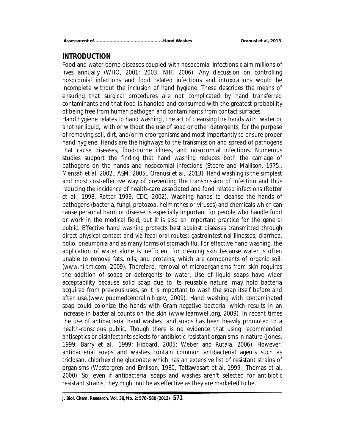#### **INTRODUCTION**

Food and water borne diseases coupled with nosocomial infections claim millions of lives annually (WHO, 2001; 2003; NIH, 2006). Any discussion on controlling nosocomial infections and food related infections and intoxications would be incomplete without the inclusion of hand hygiene. These describes the means of ensuring that surgical procedures are not complicated by hand transferred contaminants and that food is handled and consumed with the greatest probability of being free from human pathogen and contaminants from contact surfaces.

Hand hygiene relates to hand washing , the act of cleansing the hands with water or another liquid, with or without the use of soap or other detergents, for the purpose of removing soil, dirt, and/or microorganisms and most importantly to ensure proper hand hygiene. Hands are the highways to the transmission and spread of pathogens that cause diseases, food-borne illness, and nosocomial infections. Numerous studies support the finding that hand washing reduces both the carriage of pathogens on the hands and nosocomial infections (Steere and Mallison, 1975., Mensah *et al*, 2002., ASM, 2005., Oranusi *et al*,. 2013). Hand washing is the simplest and most cost-effective way of preventing the transmission of infection and thus reducing the incidence of health-care associated and food related infections (Rotter *et al*., 1998, Rotter 1999, CDC, 2002). Washing hands to cleanse the hands of pathogens (bacteria, fungi, protozoa, helminthes or viruses) and chemicals which can cause personal harm or disease is especially important for people who handle food or work in the medical field, but it is also an important practice for the general public. Effective hand washing protects best against diseases transmitted through direct physical contact and via fecal-oral routes; gastrointestinal illnesses, diarrhea, polio, pneumonia and as many forms of stomach flu. For effective hand washing, the application of water alone is inefficient for cleaning skin because water is often unable to remove fats, oils, and proteins, which are components of organic soil. (www.hi-tm.com, 2009). Therefore, removal of microorganisms from skin requires the addition of soaps or detergents to water. Use of liquid soaps have wider acceptability because solid soap due to its reusable nature, may hold bacteria acquired from previous uses, so it is important to wash the soap itself before and after use.(www.pubmedcentral.nih.gov, 2009). Hand washing with contaminated soap could colonize the hands with Gram-negative bacteria, which results in an increase in bacterial counts on the skin (www.learnwell.org, 2009). In recent times the use of antibacterial hand washes and soaps has been heavily promoted to a health-conscious public. Though there is no evidence that using recommended antiseptics or disinfectants selects for antibiotic-resistant organisms in nature (Jones, 1999; Barry *et al.*, 1999; Hibbard, 2005; Weber and Rutala, 2006). However, antibacterial soaps and washes contain common antibacterial agents such as triclosan, chlorhexidine gluconate which has an extensive list of resistant strains of organisms (Westergren and Emilson, 1980, Tattawasart et al, 1999., Thomas et al, 2000). So, even if antibacterial soaps and washes aren't selected for antibiotic resistant strains, they might not be as effective as they are marketed to be.

**J. Biol. Chem. Research. Vol. 30, No. 2: 570- 580 (2013) 571**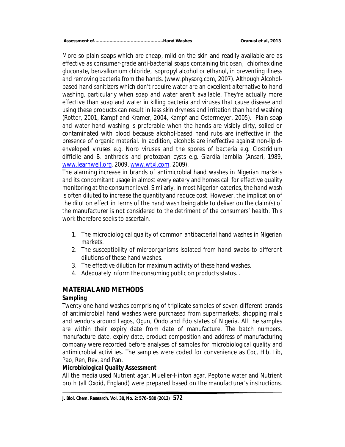More so plain soaps which are cheap, mild on the skin and readily available are as effective as consumer-grade anti-bacterial soaps containing triclosan, chlorhexidine gluconate, benzalkonium chloride, isopropyl alcohol or ethanol, in preventing illness and removing bacteria from the hands. (www.physorg.com, 2007). Although Alcoholbased hand sanitizers which don't require water are an excellent alternative to hand washing, particularly when soap and water aren't available. They're actually more effective than soap and water in killing bacteria and viruses that cause disease and using these products can result in less skin dryness and irritation than hand washing (Rotter, 2001, Kampf and Kramer, 2004, Kampf and Ostermeyer, 2005). Plain soap and water hand washing is preferable when the hands are visibly dirty, soiled or contaminated with blood because alcohol-based hand rubs are ineffective in the presence of organic material. In addition, alcohols are ineffective against non-lipidenveloped viruses e.g. Noro viruses and the spores of bacteria e.g. *Clostridium difficile* and *B. anthracis* and protozoan cysts e.g. *Giardia lamblia* (Ansari, 1989, www.learnwell.org, 2009, www.wtxl.com, 2009).

The alarming increase in brands of antimicrobial hand washes in Nigerian markets and its concomitant usage in almost every eatery and homes call for effective quality monitoring at the consumer level. Similarly, in most Nigerian eateries, the hand wash is often diluted to increase the quantity and reduce cost. However, the implication of the dilution effect in terms of the hand wash being able to deliver on the claim(s) of the manufacturer is not considered to the detriment of the consumers' health. This work therefore seeks to ascertain.

- 1. The microbiological quality of common antibacterial hand washes in Nigerian markets.
- 2. The susceptibility of microorganisms isolated from hand swabs to different dilutions of these hand washes.
- 3. The effective dilution for maximum activity of these hand washes.
- 4. Adequately inform the consuming public on products status. .

#### **MATERIAL AND METHODS**

#### **Sampling**

Twenty one hand washes comprising of triplicate samples of seven different brands of antimicrobial hand washes were purchased from supermarkets, shopping malls and vendors around Lagos, Ogun, Ondo and Edo states of Nigeria. All the samples are within their expiry date from date of manufacture. The batch numbers, manufacture date, expiry date, product composition and address of manufacturing company were recorded before analyses of samples for microbiological quality and antimicrobial activities. The samples were coded for convenience as Coc, Hib, Lib, Pao, Ren, Rev, and Pan.

#### **Microbiological Quality Assessment**

All the media used Nutrient agar, Mueller-Hinton agar, Peptone water and Nutrient broth (all Oxoid, England) were prepared based on the manufacturer's instructions.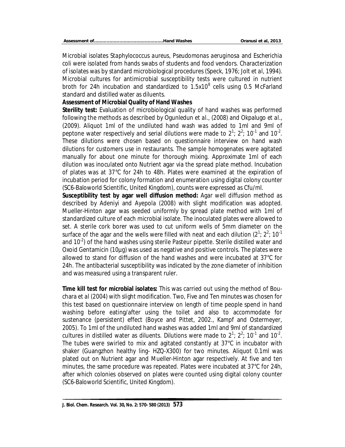|--|--|

Microbial isolates *Staphylococcus aureus, Pseudomonas aeruginosa* and *Escherichia coli* were isolated from hands swabs of students and food vendors. Characterization of isolates was by standard microbiological procedures (Speck, 1976; Jolt *et al*, 1994). Microbial cultures for antimicrobial susceptibility tests were cultured in nutrient broth for 24h incubation and standardized to 1.5x10<sup>8</sup> cells using 0.5 McFarland standard and distilled water as diluents.

#### **Assessment of Microbial Quality of Hand Washes**

**Sterility test:** Evaluation of microbiological quality of hand washes was performed following the methods as described by Ogunledun *et al*., (2008) and Okpalugo *et al*., (2009). Aliquot 1ml of the undiluted hand wash was added to 1ml and 9ml of peptone water respectively and serial dilutions were made to  $2^1$ ;  $2^2$ ; 10<sup>-1</sup> and 10<sup>-2</sup>. These dilutions were chosen based on questionnaire interview on hand wash dilutions for customers use in restaurants. The sample homogenates were agitated manually for about one minute for thorough mixing. Approximate 1ml of each dilution was inoculated onto Nutrient agar via the spread plate method. Incubation of plates was at 37°C for 24h to 48h. Plates were examined at the expiration of incubation period for colony formation and enumeration using digital colony counter (SC6-Baloworld Scientific, United Kingdom), counts were expressed as Cfu/ml.

**Susceptibility test by agar well diffusion method:** Agar well diffusion method as described by Adeniyi and Ayepola (2008) with slight modification was adopted. Mueller-Hinton agar was seeded uniformly by spread plate method with 1ml of standardized culture of each microbial isolate. The inoculated plates were allowed to set. A sterile cork borer was used to cut uniform wells of 5mm diameter on the surface of the agar and the wells were filled with neat and each dilution (2<sup>1</sup>; 2<sup>2</sup>; 10<sup>-1</sup> and 10<sup>-2</sup>) of the hand washes using sterile Pasteur pipette. Sterile distilled water and Oxoid Gentamicin (10µg) was used as negative and positive controls. The plates were allowed to stand for diffusion of the hand washes and were incubated at 37°C for 24h. The antibacterial susceptibility was indicated by the zone diameter of inhibition and was measured using a transparent ruler.

**Time kill test for microbial isolates:** This was carried out using the method of Bouchara *et al* (2004) with slight modification. Two, Five and Ten minutes was chosen for this test based on questionnaire interview on length of time people spend in hand washing before eating/after using the toilet and also to accommodate for sustenance (persistent) effect (Boyce and Pittet, 2002., Kampf and Ostermeyer, 2005). To 1ml of the undiluted hand washes was added 1ml and 9ml of standardized cultures in distilled water as diluents. Dilutions were made to  $2^1$ ;  $2^2$ ; 10<sup>-1</sup> and 10<sup>-2</sup>. The tubes were swirled to mix and agitated constantly at 37°C in incubator with shaker (Guangzhon healthy ling- HZQ-X300) for two minutes. Aliquot 0.1ml was plated out on Nutrient agar and Mueller-Hinton agar respectively. At five and ten minutes, the same procedure was repeated. Plates were incubated at 37°C for 24h, after which colonies observed on plates were counted using digital colony counter (SC6-Baloworld Scientific, United Kingdom).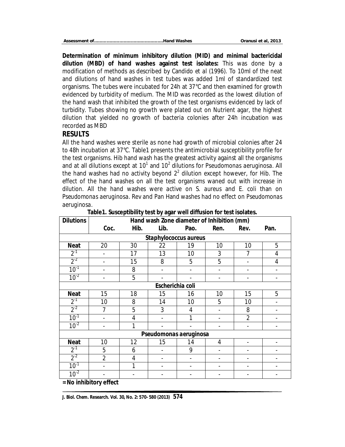|--|--|

**Determination of minimum inhibitory dilution (MID) and minimal bactericidal dilution (MBD) of hand washes against test isolates:** This was done by a modification of methods as described by Candido *et al* (1996). To 10ml of the neat and dilutions of hand washes in test tubes was added 1ml of standardized test organisms. The tubes were incubated for 24h at 37°C and then examined for growth evidenced by turbidity of medium. The MID was recorded as the lowest dilution of the hand wash that inhibited the growth of the test organisms evidenced by lack of turbidity. Tubes showing no growth were plated out on Nutrient agar, the highest dilution that yielded no growth of bacteria colonies after 24h incubation was recorded as MBD

#### **RESULTS**

All the hand washes were sterile as none had growth of microbial colonies after 24 to 48h incubation at 37°C. Table1 presents the antimicrobial susceptibility profile for the test organisms. Hib hand wash has the greatest activity against all the organisms and at all dilutions except at 10<sup>1</sup> and 10<sup>2</sup> dilutions for *Pseudomonas aeruginosa.* All the hand washes had no activity beyond  $2<sup>2</sup>$  dilution except however, for Hib. The effect of the hand washes on all the test organisms waned out with increase in dilution. All the hand washes were active on *S. aureus* and *E. coli* than on *Pseudomonas aeruginosa*. Rev and Pan Hand washes had no effect on *Pseudomonas aeruginosa.*

| <b>Dilutions</b>             | Hand wash Zone diameter of Inhibition (mm) |      |                        |      |      |                |      |  |  |  |  |
|------------------------------|--------------------------------------------|------|------------------------|------|------|----------------|------|--|--|--|--|
|                              | Coc.                                       | Hib. | Lib.                   | Pao. | Ren. | Rev.           | Pan. |  |  |  |  |
| <b>Staphylococcus aureus</b> |                                            |      |                        |      |      |                |      |  |  |  |  |
| <b>Neat</b>                  | 20                                         | 30   | 22                     | 19   | 10   | 10             | 5    |  |  |  |  |
| $2^{-1}$                     |                                            | 17   | 13                     | 10   | 3    |                | 4    |  |  |  |  |
| $2^{-2}$                     |                                            | 15   | 8                      | 5    | 5    |                | 4    |  |  |  |  |
| $10^{-1}$                    |                                            | 8    |                        |      |      |                |      |  |  |  |  |
| $10^{-2}$                    |                                            | 5    |                        |      |      |                |      |  |  |  |  |
| Escherichia coli             |                                            |      |                        |      |      |                |      |  |  |  |  |
| <b>Neat</b>                  | 15                                         | 18   | 15                     | 16   | 10   | 15             | 5    |  |  |  |  |
| $2^{-1}$                     | 10                                         | 8    | 14                     | 10   | 5    | 10             |      |  |  |  |  |
| $2^{-2}$                     |                                            | 5    | 3                      | 4    |      | 8              |      |  |  |  |  |
| $10^{-1}$                    |                                            | 4    |                        | 1    |      | $\overline{2}$ |      |  |  |  |  |
| $10^{-2}$                    |                                            |      |                        |      |      |                |      |  |  |  |  |
|                              |                                            |      | Pseudomonas aeruginosa |      |      |                |      |  |  |  |  |
| <b>Neat</b>                  | 10                                         | 12   | 15                     | 14   | 4    |                |      |  |  |  |  |
| $2^{-1}$                     | 5                                          | 6    |                        | 9    |      |                |      |  |  |  |  |
| $2^{-2}$                     | $\overline{2}$                             | 4    |                        |      |      |                |      |  |  |  |  |
| $10^{-1}$                    |                                            |      |                        |      |      |                |      |  |  |  |  |
| $10^{-2}$                    |                                            |      |                        |      |      |                |      |  |  |  |  |
|                              | = No inhibitory effect                     |      |                        |      |      |                |      |  |  |  |  |

**Table1. Susceptibility test by agar well diffusion for test isolates.**

**J. Biol. Chem. Research. Vol. 30, No. 2: 570- 580 (2013) 574**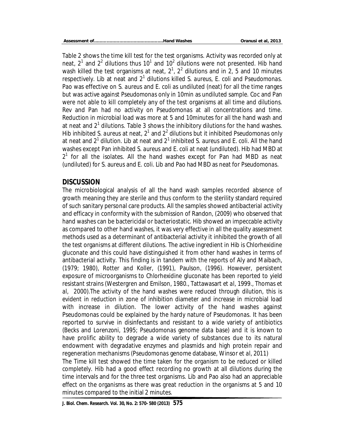Table 2 shows the time kill test for the test organisms. Activity was recorded only at neat, 2<sup>1</sup> and 2<sup>2</sup> dilutions thus 10<sup>1</sup> and 10<sup>2</sup> dilutions were not presented. Hib hand wash killed the test organisms at neat,  $2^1$ ,  $2^2$  dilutions and in 2, 5 and 10 minutes respectively. Lib at neat and 2<sup>1</sup> dilutions killed S. aureus, E. coli and Pseudomonas. Pao was effective on *S. aureus* and *E. coli* as undiluted (neat) for all the time ranges but was active against *Pseudomonas* only in 10min as undiluted sample. Coc and Pan were not able to kill completely any of the test organisms at all time and dilutions. Rev and Pan had no activity on *Pseudomonas* at all concentrations and time. Reduction in microbial load was more at 5 and 10minutes for all the hand wash and at neat and 2<sup>1</sup> dilutions. Table 3 shows the inhibitory dilutions for the hand washes. Hib inhibited *S. aureus* at neat, 2<sup>1</sup> and 2<sup>2</sup> dilutions but it inhibited *Pseudomonas* only at neat and 2<sup>1</sup> dilution. Lib at neat and 2<sup>1</sup> inhibited *S. aureus* and *E. coli*. All the hand washes except Pan inhibited *S. aureus* and *E. coli* at neat (undiluted). Hib had MBD at  $2<sup>1</sup>$  for all the isolates. All the hand washes except for Pan had MBD as neat (undiluted) for S. aureus and E. coli. Lib and Pao had MBD as neat for *Pseudomonas*.

#### **DISCUSSION**

The microbiological analysis of all the hand wash samples recorded absence of growth meaning they are sterile and thus conform to the sterility standard required of such sanitary personal care products. All the samples showed antibacterial activity and efficacy in conformity with the submission of Randon, (2009) who observed that hand washes can be bactericidal or bacteriostatic. Hib showed an impeccable activity as compared to other hand washes, it was very effective in all the quality assessment methods used as a determinant of antibacterial activity it inhibited the growth of all the test organisms at different dilutions. The active ingredient in Hib is Chlorhexidine gluconate and this could have distinguished it from other hand washes in terms of antibacterial activity. This finding is in tandem with the reports of Aly and Maibach, (1979; 1980), Rotter and Koller, (1991), Paulson, (1996). However, persistent exposure of microorganisms to Chlorhexidine gluconate has been reported to yield resistant strains (Westergren and Emilson, 1980., Tattawasart *et al*, 1999., Thomas *et al*, 2000).The activity of the hand washes were reduced through dilution, this is evident in reduction in zone of inhibition diameter and increase in microbial load with increase in dilution. The lower activity of the hand washes against Pseudomonas could be explained by the hardy nature of *Pseudomonas*. It has been reported to survive in disinfectants and resistant to a wide variety of antibiotics (Becks and Lorenzoni, 1995; *Pseudomonas* genome data base) and it is known to have prolific ability to degrade a wide variety of substances due to its natural endowment with degradative enzymes and plasmids and high protein repair and regeneration mechanisms (*Pseudomonas* genome database, Winsor *et al*, 2011) The Time kill test showed the time taken for the organism to be reduced or killed completely. Hib had a good effect recording no growth at all dilutions during the

time intervals and for the three test organisms. Lib and Pao also had an appreciable effect on the organisms as there was great reduction in the organisms at 5 and 10 minutes compared to the initial 2 minutes.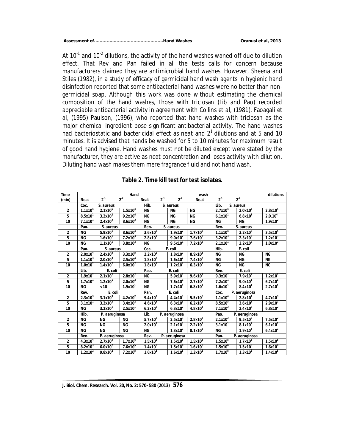*Assessment of………………………………………….Hand Washes Oranusi et al, 2013*

At 10<sup>-1</sup> and 10<sup>-2</sup> dilutions, the activity of the hand washes waned off due to dilution effect. That Rev and Pan failed in all the tests calls for concern because manufacturers claimed they are antimicrobial hand washes. However, Sheena and Stiles (1982), in a study of efficacy of germicidal hand wash agents in hygienic hand disinfection reported that some antibacterial hand washes were no better than nongermicidal soap. Although this work was done without estimating the chemical composition of the hand washes, those with triclosan (Lib and Pao) recorded appreciable antibacterial activity in agreement with Collins *et al*, (1981), Faoagali *et al*, (1995) Paulson, (1996), who reported that hand washes with triclosan as the major chemical ingredient pose significant antibacterial activity. The hand washes had bacteriostatic and bactericidal effect as neat and  $2<sup>1</sup>$  dilutions and at 5 and 10 minutes. It is advised that hands be washed for 5 to 10 minutes for maximum result of good hand hygiene. Hand washes must not be diluted except were stated by the manufacturer, they are active as neat concentration and loses activity with dilution. Diluting hand wash makes them mere fragrance fluid and not hand wash.

| <b>Time</b>    |                       | wash                |                     |                        |          |                     | dilutions             |                       |                       |                     |
|----------------|-----------------------|---------------------|---------------------|------------------------|----------|---------------------|-----------------------|-----------------------|-----------------------|---------------------|
| (min)          | <b>Neat</b>           | $2^{-1}$            | 2 <sup>2</sup>      | <b>Neat</b>            | $2^{-1}$ | $2^{2}$             | <b>Neat</b>           | $2^{-1}$              | $2^{-2}$              |                     |
|                | Coc.<br>S. aureus     |                     |                     | Hib.<br>S. aureus      |          |                     | Lib.<br>S. aureus     |                       |                       |                     |
| $\overline{2}$ | 1.1x10 <sup>4</sup>   | $2.1x10^{5}$        | 1.5x10 <sup>4</sup> | <b>NG</b>              |          | <b>NG</b>           | <b>NG</b>             | $2.7x10^{4}$          | 2.0x10 <sup>4</sup>   | 2.8x10 <sup>4</sup> |
| 5              | 8.5x10 <sup>1</sup>   | $3.2x10^2$          | 9.2x10 <sup>4</sup> | <b>NG</b>              |          | <b>NG</b>           | <b>NG</b>             | 6.1x10 <sup>1</sup>   | 6.8x10 <sup>1</sup>   | $2.0.10^{4}$        |
| 10             | 7.1x10 <sup>1</sup>   | $2.4x10^{2}$        | $8.6x10^{2}$        | <b>NG</b>              |          | <b>NG</b>           | <b>NG</b>             | <b>NG</b>             | <b>NG</b>             | 1.9x10 <sup>2</sup> |
|                | Pao.                  | S. aureus           |                     | Ren.                   |          | S. aureus           |                       | Rev.                  | S. aureus             |                     |
| $\overline{c}$ | <b>NG</b>             | 5.9x10 <sup>1</sup> | $8.6x10^{4}$        | $3.6x10^2$             |          | $1.9x10^2$          | $1.7x10^2$            | 1.1x10 <sup>4</sup>   | 3.2x10 <sup>5</sup>   | 3.5x10 <sup>5</sup> |
| 5              | <b>NG</b>             | 1.6x10 <sup>1</sup> | 7.2x10 <sup>3</sup> | $2.8x10^{1}$           |          | $9.0x10^2$          | $7.6x10^2$            | 3.2x10 <sup>3</sup>   | $2.3x10^3$            | $1.2x10^{3}$        |
| 10             | <b>NG</b>             | 1.1x10 <sup>1</sup> | $3.8x10^2$          | <b>NG</b>              |          | 9.5x10 <sup>1</sup> | $7.2x10^2$            | 2.1x10 <sup>1</sup>   | $2.2x10^2$            | 1.0x10 <sup>2</sup> |
|                | S. aureus<br>Pan.     |                     |                     | Coc.                   |          | E. coli             |                       | Hib.<br>E. coli       |                       |                     |
| $\overline{c}$ | 2.0x10 <sup>4</sup>   | $2.4x10^{5}$        | $3.3x10^5$          | $2.2x10^2$             |          | $1.8x10^2$          | 8.9x10 <sup>3</sup>   | <b>NG</b>             | <b>NG</b>             | <b>NG</b>           |
| 5              | 1.1x10 <sup>3</sup>   | 2.0x10 <sup>3</sup> | 2.5x10 <sup>4</sup> | $1.8x10^2$             |          | $1.6x10^2$          | $7.4x10^2$            | <b>NG</b>             | <b>NG</b>             | <b>NG</b>           |
| 10             | 1.0x10 <sup>2</sup>   | $1.4x10^2$          | $6.0x10^{2}$        | 1.8x10                 |          | 1.2x10 <sup>2</sup> | $6.3x10^{2}$          | <b>NG</b>             | <b>NG</b>             | <b>NG</b>           |
|                | Lib.                  | E. coli             |                     | Pao.                   |          | E. coli             |                       | Ren.                  | E. coli               |                     |
| $\overline{2}$ | $1.9x10^2$            | $2.1x10^2$          | $2.8x10^2$          | $\overline{\text{NG}}$ |          | 5.9x10              | $9.6x10^{3}$          | $9.3x10^2$            | $7.9x10^2$            | $1.2x10^2$          |
| 5              | 1.7x10 <sup>1</sup>   | 1.2x10 <sup>T</sup> | $2.0x10^2$          | <b>NG</b>              |          | 7.6x10              | $2.7x10^2$            | $7.2x10^{T}$          | $9.0x10^{T}$          | $6.7x10^{1}$        |
| 10             | <b>NG</b>             | < 10                | 1.9x10 <sup>1</sup> | <b>NG</b>              |          | 1.7x10              | 6.8x10                | 1.6x10                | $8.4x10$ <sup>1</sup> | 2.7x10              |
|                | Rev.                  | E. coli             |                     | E. coli<br>Pan.        |          |                     | Coc.<br>P. aeruginosa |                       |                       |                     |
| $\overline{c}$ | 2.3x10 <sup>3</sup>   | 3.1x10 <sup>3</sup> | $4.2x10^2$          | $9.4x10^{3}$           |          | $4.4x10^{3}$        | 5.5x10 <sup>6</sup>   | 1.1x10 <sup>4</sup>   | $2.8x10^{4}$          | $4.7x10^{3}$        |
| 5              | 3.1x10 <sup>1</sup>   | 3.2x10 <sup>2</sup> | $3.4x10^2$          | 4.6x10 <sup>3</sup>    |          | $6.3x10^{3}$        | $6.2x10^{5}$          | 8.5x10 <sup>3</sup>   | $3.6x10^3$            | $2.9x10^2$          |
| 10             | <b>NG</b>             | 3.2x10              | 2.5x10 <sup>1</sup> | $6.2x10^{2}$           |          | $6.3x10^{2}$        | $4.8x10^{4}$          | $7.1x10^2$            | $2.4x10^{3}$          | $6.8x10^{2}$        |
|                | Hib.<br>P. aeruginosa |                     |                     | Lib.<br>P. aeruginosa  |          |                     |                       | Pao.<br>P. aeruginosa |                       |                     |
| $\overline{c}$ | <b>NG</b>             | <b>NG</b>           | <b>NG</b>           | $5.7x10^2$             |          | 2.5x10 <sup>3</sup> | $2.8x10^{3}$          | $2.1x10^2$            | $9.5x10^2$            | $7.5x10^2$          |
| 5              | <b>NG</b>             | <b>NG</b>           | <b>NG</b>           | $2.0x10^2$             |          | 2.1x10 <sup>3</sup> | $2.2x10^2$            | 3.1x10 <sup>1</sup>   | $8.1x10^2$            | 6.1x10 <sup>1</sup> |
| 10             | <b>NG</b>             | <b>NG</b>           | <b>NG</b>           | <b>NG</b>              |          | $1.3x10^2$          | $8.1x10^2$            | <b>NG</b>             | 1.9x10 <sup>1</sup>   | $6.4x10^2$          |
|                | P. aeruginosa<br>Ren. |                     |                     | Rev.<br>P. aeruginosa  |          |                     | Pan.                  | P. aeruginosa         |                       |                     |
| $\overline{2}$ | $4.3x10^{4}$          | $2.7x10^{3}$        | 1.7x10 <sup>6</sup> | 1.5x10 <sup>8</sup>    |          | 1.5x10 <sup>8</sup> | 1.5x10 <sup>8</sup>   | 1.5x10 <sup>8</sup>   | 1.7x10 <sup>8</sup>   | $1.5x10^8$          |
| 5              | $8.2x10^3$            | $6.0x10^{2}$        | $7.6x10^{5}$        | 1.4x10 <sup>8</sup>    |          | 1.5x10 <sup>8</sup> | 1.6x10 <sup>8</sup>   | 1.5x10 <sup>8</sup>   | 1.5x10 <sup>8</sup>   | 1.6x10 <sup>8</sup> |
| 10             | $1.2x10^2$            | $9.8x10^2$          | 7.2x10 <sup>5</sup> | $1.6x10^8$             |          | 1.6x10 <sup>8</sup> | $1.3x10^8$            | 1.7x10 <sup>8</sup>   | $1.3x\overline{10^8}$ | $1.4x10^{8}$        |

#### **Table 2. Time kill test for test isolates.**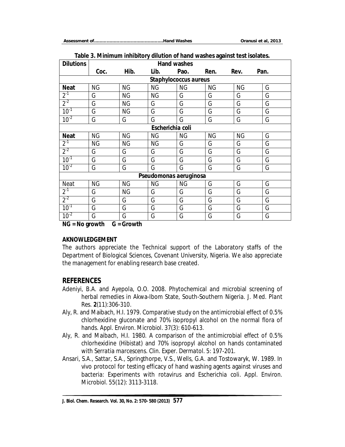| J.<br><b>Dilutions</b><br><b>Hand washes</b> |           |           |                  |           |           |           |      |  |  |
|----------------------------------------------|-----------|-----------|------------------|-----------|-----------|-----------|------|--|--|
|                                              | Coc.      | Hib.      | Lib.             | Pao.      | Ren.      | Rev.      | Pan. |  |  |
| Staphylococcus aureus                        |           |           |                  |           |           |           |      |  |  |
| <b>Neat</b>                                  | <b>NG</b> | <b>NG</b> | <b>NG</b>        | <b>NG</b> | <b>NG</b> | <b>NG</b> | G    |  |  |
| $2^{-1}$                                     | G         | <b>NG</b> | <b>NG</b>        | G         | G         | G         | G    |  |  |
| $2^{-2}$                                     | G         | <b>NG</b> | G                | G         | G         | G         | G    |  |  |
| $10^{-1}$                                    | G         | <b>NG</b> | G                | G         | G         | G         | G    |  |  |
| $10^{-2}$                                    | G         | G         | G                | G         | G         | G         | G    |  |  |
|                                              |           |           | Escherichia coli |           |           |           |      |  |  |
| <b>Neat</b>                                  | <b>NG</b> | <b>NG</b> | <b>NG</b>        | <b>NG</b> | <b>NG</b> | <b>NG</b> | G    |  |  |
| $2^{-1}$                                     | <b>NG</b> | <b>NG</b> | <b>NG</b>        | G         | G         | G         | G    |  |  |
| $2^{-2}$                                     | G         | G         | G                | G         | G         | G         | G    |  |  |
| $10^{-1}$                                    | G         | G         | G                | G         | G         | G         | G    |  |  |
| $10^{-2}$                                    | G         | G         | G                | G         | G         | G         | G    |  |  |
| Pseudomonas aeruginosa                       |           |           |                  |           |           |           |      |  |  |
| Neat                                         | <b>NG</b> | <b>NG</b> | <b>NG</b>        | <b>NG</b> | G         | G         | G    |  |  |
| $2^{-1}$                                     | G         | <b>NG</b> | G                | G         | G         | G         | G    |  |  |
| $2^{-2}$                                     | G         | G         | G                | G         | G         | G         | G    |  |  |
| $10^{-1}$                                    | G         | G         | G                | G         | G         | G         | G    |  |  |
| $10^{-2}$                                    | G         | G         | G                | G         | G         | G         | G    |  |  |

#### **Table 3. Minimum inhibitory dilution of hand washes against test isolates.**

**NG = No growth G = Growth**

#### **AKNOWLEDGEMENT**

The authors appreciate the Technical support of the Laboratory staffs of the Department of Biological Sciences, Covenant University, Nigeria. We also appreciate the management for enabling research base created.

#### **REFERENCES**

- Adeniyi, B.A. and Ayepola, O.O. 2008. Phytochemical and microbial screening of herbal remedies in Akwa-Ibom State, South-Southern Nigeria. *J. Med. Plant Res*. **2**(11):306-310.
- Aly, R. and Maibach, H.I. 1979. Comparative study on the antimicrobial effect of 0.5% chlorhexidine gluconate and 70% isopropyl alcohol on the normal flora of hands. *Appl. Environ. Microbiol*. 37(3): 610-613.
- Aly, R. and Maibach, H.I. 1980. A comparison of the antimicrobial effect of 0.5% chlorhexidine (Hibistat) and 70% isopropyl alcohol on hands contaminated with *Serratia marcescens*. *Clin. Exper. Dermatol*. 5: 197-201.
- Ansari, S.A., Sattar, S.A., Springthorpe, V.S., Wells, G.A. and Tostowaryk, W. 1989. In vivo protocol for testing efficacy of hand washing agents against viruses and bacteria: Experiments with rotavirus and *Escherichia coli*. *Appl. Environ. Microbiol*. 55(12): 3113-3118.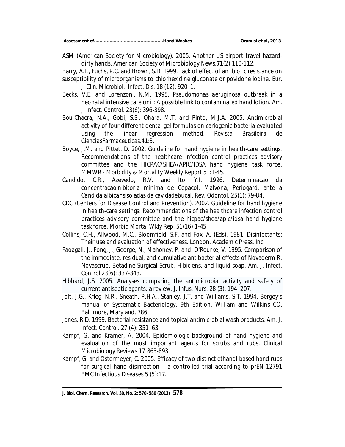ASM (American Society for Microbiology). 2005. Another US airport travel hazarddirty hands. *American Society of Microbiology News.***71**(2):110-112.

Barry, A.L., Fuchs, P.C. and Brown, S.D. 1999. Lack of effect of antibiotic resistance on susceptibility of microorganisms to chlorhexidine gluconate or povidone iodine. *Eur. J. Clin. Microbiol. Infect. Dis.* 18 (12): 920–1.

- Becks, V.E. and Lorenzoni, N.M. 1995. *Pseudomonas aeruginosa* outbreak in a neonatal intensive care unit: A possible link to contaminated hand lotion. *Am. J. Infect. Control*. 23(6): 396-398.
- Bou-Chacra, N.A., Gobi, S.S., Ohara, M.T. and Pinto, M.J.A. 2005. Antimicrobial activity of four different dental gel formulas on cariogenic bacteria evaluated using the linear regression method. *Revista Brasileira de CienciasFarmaceuticas*.41:3.
- Boyce, J.M. and Pittet, D. 2002. Guideline for hand hygiene in health-care settings. Recommendations of the healthcare infection control practices advisory committee and the HICPAC/SHEA/APIC/IDSA hand hygiene task force. *MMWR - Morbidity & Mortality Weekly Report* 51:1-45.
- Candido, C.R., Azevedo, R.V. and Ito, Y.I. 1996. Determinacao da concentracaoinibitoria minima de Cepacol, Malvona, Periogard, ante a *Candida albicans*isoladas da cavidadebucal. *Rev. Odontol*. 25(1): 79-84.
- CDC (Centers for Disease Control and Prevention). 2002. Guideline for hand hygiene in health-care settings: Recommendations of the healthcare infection control practices advisory committee and the hicpac/shea/apic/idsa hand hygiene task force. *Morbid Mortal Wkly Rep*, 51(16):1-45
- Collins, C.H., Allwood, M.C., Bloomfield, S.F. and Fox, A. (Eds). 1981. Disinfectants: Their use and evaluation of effectiveness. London, Academic Press, Inc.
- Faoagali, J., Fong, J., George, N., Mahoney, P. and O'Rourke, V. 1995. Comparison of the immediate, residual, and cumulative antibacterial effects of Novaderm R, Novascrub, Betadine Surgical Scrub, Hibiclens, and liquid soap. *Am. J. Infect. Control* 23(6): 337-343.
- Hibbard, J.S. 2005. Analyses comparing the antimicrobial activity and safety of current antiseptic agents: a review. *J. Infus. Nurs.* 28 (3): 194–207.
- Jolt, J.G., Krleg, N.R., Sneath, P.H.A., Stanley, J.T. and Williams, S.T. 1994. Bergey's manual of Systematic Bacteriology, 9th Edition, William and Wilkins CO. Baltimore, Maryland, 786.
- Jones, R.D. 1999. Bacterial resistance and topical antimicrobial wash products. *Am. J. Infect. Control.* 27 (4): 351–63.
- Kampf, G. and Kramer, A. 2004. Epidemiologic background of hand hygiene and evaluation of the most important agents for scrubs and rubs. *Clinical Microbiology Reviews* 17:863-893.
- Kampf, G. and Ostermeyer, C. 2005. Efficacy of two distinct ethanol-based hand rubs for surgical hand disinfection – a controlled trial according to prEN 12791 *BMC Infectious Diseases* 5 (5):17.

**J. Biol. Chem. Research. Vol. 30, No. 2: 570- 580 (2013) 578**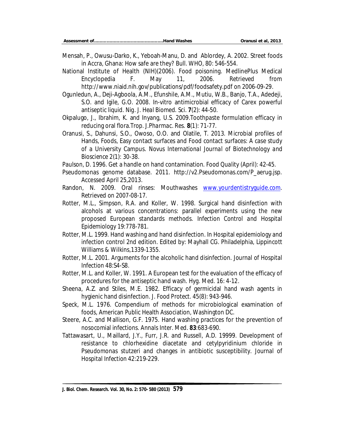- Mensah, P., Owusu-Darko, K., Yeboah-Manu, D. and Ablordey, A. 2002. Street foods in Accra, Ghana: How safe are they? *Bull. WHO*, 80: 546-554.
- National Institute of Health (NIH)(2006). Food poisoning. MedlinePlus Medical Encyclopedia F. May 11, 2006. Retrieved from http://www.niaid.nih.gov/publications/pdf/foodsafety.pdf on 2006-09-29.
- Ogunledun, A., Deji-Agboola, A.M., Efunshile, A.M., Mutiu, W.B., Banjo, T.A., Adedeji, S.O. and Igile, G.O. 2008. In-vitro antimicrobial efficacy of Carex powerful antiseptic liquid. *Nig. J. Heal Biomed. Sci*. **7**(2): 44-50.
- Okpalugo, J., Ibrahim, K. and Inyang, U.S. 2009.Toothpaste formulation efficacy in reducing oral flora.*Trop. J.Pharmac. Res*. **8**(1): 71-77.
- Oranusi, S., Dahunsi, S.O., Owoso, O.O. and Olatile, T. 2013. Microbial profiles of Hands, Foods, Easy contact surfaces and Food contact surfaces: A case study of a University Campus. *Novus International Journal of Biotechnology and Bioscience* 2(1): 30-38.

Paulson, D. 1996. Get a handle on hand contamination. *Food Quality* (April): 42-45.

- Pseudomonas genome database. 2011. http://v2.Pseudomonas.com/P\_aerug.jsp. Accessed April 25,2013.
- Randon, N. 2009. Oral rinses: Mouthwashes www.yourdentistryquide.com. Retrieved on 2007-08-17.
- Rotter, M.L., Simpson, R.A. and Koller, W. 1998. Surgical hand disinfection with alcohols at various concentrations: parallel experiments using the new proposed European standards methods. *Infection Control and Hospital Epidemiology* 19:778-781.
- Rotter, M.L. 1999. Hand washing and hand disinfection. In Hospital epidemiology and infection control 2nd edition. Edited by: Mayhall CG. Philadelphia, Lippincott Williams & Wilkins,1339-1355.
- Rotter, M.L. 2001. Arguments for the alcoholic hand disinfection. *Journal of Hospital Infection* 48:S4-S8.
- Rotter, M.L. and Koller, W. 1991. A European test for the evaluation of the efficacy of procedures for the antiseptic hand wash. *Hyg. Med*. 16: 4-12.
- Sheena, A.Z. and Stiles, M.E. 1982. Efficacy of germicidal hand wash agents in hygienic hand disinfection. *J. Food Protect.* 45(8): 943-946.
- Speck, M.L. 1976. Compendium of methods for microbiological examination of foods, American Public Health Association, Washington DC.
- Steere, A.C. and Mallison, G.F. 1975. Hand washing practices for the prevention of nosocomial infections. *Annals Inter. Med*. **83**:683-690.
- Tattawasart, U., Maillard, J.Y., Furr, J.R. and Russell, A.D. 19999. Development of resistance to chlorhexidine diacetate and cetylpyridinium chloride in Pseudomonas stutzeri and changes in antibiotic susceptibility. *Journal of Hospital Infection* 42:219-229.

**J. Biol. Chem. Research. Vol. 30, No. 2: 570- 580 (2013) 579**